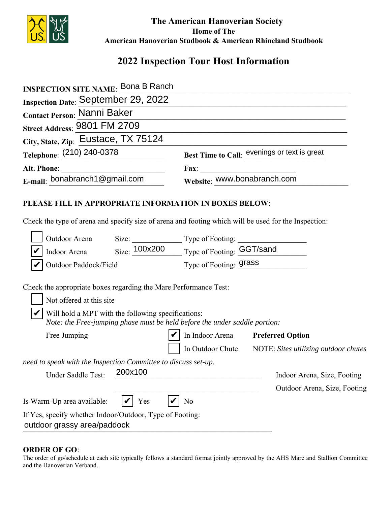

 **The American Hanoverian Society Home of The American Hanoverian Studbook & American Rhineland Studbook**

# **2022 Inspection Tour Host Information**

| <b>INSPECTION SITE NAME: Bona B Ranch</b>  |                                              |
|--------------------------------------------|----------------------------------------------|
| <b>Inspection Date: September 29, 2022</b> |                                              |
| <b>Contact Person: Nanni Baker</b>         |                                              |
| Street Address: 9801 FM 2709               |                                              |
| City, State, Zip: Eustace, TX 75124        |                                              |
| Telephone: (210) 240-0378                  | Best Time to Call: evenings or text is great |
|                                            | <b>Fax:</b>                                  |
| E-mail: bonabranch1@gmail.com              | Website: www.bonabranch.com                  |
|                                            |                                              |

## **PLEASE FILL IN APPROPRIATE INFORMATION IN BOXES BELOW**:

Check the type of arena and specify size of arena and footing which will be used for the Inspection:

| Outdoor Arena                                                                           | Size:         | Type of Footing:                                                           |                                      |
|-----------------------------------------------------------------------------------------|---------------|----------------------------------------------------------------------------|--------------------------------------|
| Indoor Arena                                                                            | Size: 100x200 | Type of Footing: GGT/sand                                                  |                                      |
| Outdoor Paddock/Field                                                                   |               | Type of Footing: <b>grass</b>                                              |                                      |
| Check the appropriate boxes regarding the Mare Performance Test:                        |               |                                                                            |                                      |
| Not offered at this site                                                                |               |                                                                            |                                      |
| Will hold a MPT with the following specifications:                                      |               | Note: the Free-jumping phase must be held before the under saddle portion: |                                      |
| Free Jumping                                                                            |               | In Indoor Arena                                                            | <b>Preferred Option</b>              |
|                                                                                         |               | In Outdoor Chute                                                           | NOTE: Sites utilizing outdoor chutes |
| need to speak with the Inspection Committee to discuss set-up.                          |               |                                                                            |                                      |
| Under Saddle Test:                                                                      | 200x100       |                                                                            | Indoor Arena, Size, Footing          |
|                                                                                         |               |                                                                            | Outdoor Arena, Size, Footing         |
| Is Warm-Up area available:                                                              | Yes           | No                                                                         |                                      |
| If Yes, specify whether Indoor/Outdoor, Type of Footing:<br>outdoor grassy area/paddock |               |                                                                            |                                      |

#### **ORDER OF GO**:

The order of go/schedule at each site typically follows a standard format jointly approved by the AHS Mare and Stallion Committee and the Hanoverian Verband.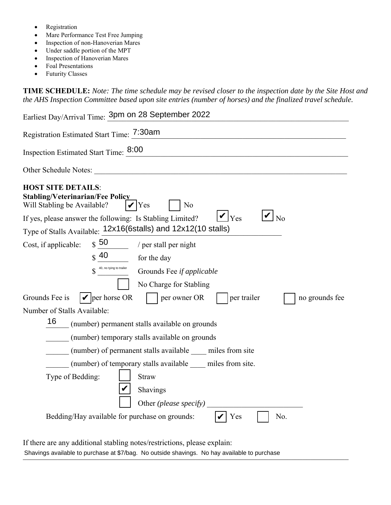- Registration
- Mare Performance Test Free Jumping
- Inspection of non-Hanoverian Mares
- Under saddle portion of the MPT
- Inspection of Hanoverian Mares
- Foal Presentations
- Futurity Classes

**TIME SCHEDULE:** *Note: The time schedule may be revised closer to the inspection date by the Site Host and the AHS Inspection Committee based upon site entries (number of horses) and the finalized travel schedule.* 

| Earliest Day/Arrival Time: 3pm on 28 September 2022                                                                                                                                                                                                  |  |  |
|------------------------------------------------------------------------------------------------------------------------------------------------------------------------------------------------------------------------------------------------------|--|--|
| Registration Estimated Start Time: 7:30am                                                                                                                                                                                                            |  |  |
| Inspection Estimated Start Time: 8:00                                                                                                                                                                                                                |  |  |
| Other Schedule Notes:<br><u> 1980 - Johann Barbara, martin amerikan ba</u>                                                                                                                                                                           |  |  |
| <b>HOST SITE DETAILS:</b><br><b>Stabling/Veterinarian/Fee Policy</b><br>Will Stabling be Available?<br>Yes<br>N <sub>o</sub><br>$ {\boldsymbol \nu} _{{\rm Yes}}$<br>$\overline{\rm N}$<br>If yes, please answer the following: Is Stabling Limited? |  |  |
| Type of Stalls Available: 12x16(6stalls) and 12x12(10 stalls)                                                                                                                                                                                        |  |  |
| $\frac{50}{2}$ / per stall per night<br>Cost, if applicable:                                                                                                                                                                                         |  |  |
| $\frac{40}{1}$<br>for the day                                                                                                                                                                                                                        |  |  |
| $\int$ 40, no tying to trailer<br>Grounds Fee if applicable                                                                                                                                                                                          |  |  |
| No Charge for Stabling                                                                                                                                                                                                                               |  |  |
| $  \mathbf{v}  $ per horse OR<br>Grounds Fee is<br>per owner OR<br>per trailer<br>no grounds fee                                                                                                                                                     |  |  |
| Number of Stalls Available:                                                                                                                                                                                                                          |  |  |
| 16<br>(number) permanent stalls available on grounds                                                                                                                                                                                                 |  |  |
| (number) temporary stalls available on grounds                                                                                                                                                                                                       |  |  |
| (number) of permanent stalls available miles from site                                                                                                                                                                                               |  |  |
| (number) of temporary stalls available _____ miles from site.                                                                                                                                                                                        |  |  |
| Type of Bedding:<br><b>Straw</b>                                                                                                                                                                                                                     |  |  |
| Shavings                                                                                                                                                                                                                                             |  |  |
| Other (please specify)                                                                                                                                                                                                                               |  |  |
| Bedding/Hay available for purchase on grounds:<br>No.<br>Yes                                                                                                                                                                                         |  |  |

If there are any additional stabling notes/restrictions, please explain: Shavings available to purchase at \$7/bag. No outside shavings. No hay available to purchase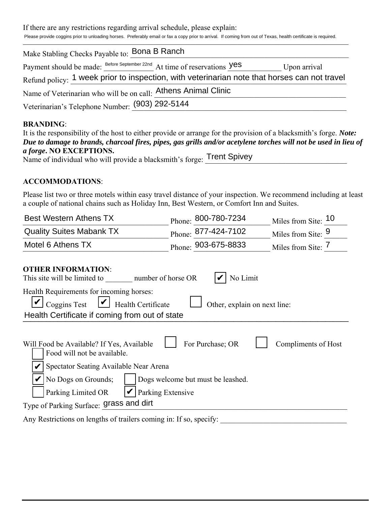If there are any restrictions regarding arrival schedule, please explain:

Please provide coggins prior to unloading horses. Preferably email or fax a copy prior to arrival. If coming from out of Texas, health certificate is required.

| Make Stabling Checks Payable to: Bona B Ranch                                                |  |
|----------------------------------------------------------------------------------------------|--|
| Payment should be made: Before September 22nd At time of reservations Yes<br>Upon arrival    |  |
| Refund policy: 1 week prior to inspection, with veterinarian note that horses can not travel |  |
| Name of Veterinarian who will be on call: Athens Animal Clinic                               |  |
| Veterinarian's Telephone Number: (903) 292-5144                                              |  |

### **BRANDING**:

| It is the responsibility of the host to either provide or arrange for the provision of a blacksmith's forge. Note: |  |
|--------------------------------------------------------------------------------------------------------------------|--|
| Due to damage to brands, charcoal fires, pipes, gas grills and/or acetylene torches will not be used in lieu of    |  |
| <i>a forge.</i> NO EXCEPTIONS.                                                                                     |  |
| Name of individual who will provide a blacksmith's forge: Trent Spivey                                             |  |

#### **ACCOMMODATIONS**:

Please list two or three motels within easy travel distance of your inspection. We recommend including at least a couple of national chains such as Holiday Inn, Best Western, or Comfort Inn and Suites.

| <b>Best Western Athens TX</b>   | $P_{\text{hone}}$ : 800-780-7234 | Miles from Site: 10           |
|---------------------------------|----------------------------------|-------------------------------|
| <b>Quality Suites Mabank TX</b> | $P_{\text{hone}}$ : 877-424-7102 | Miles from Site: 9            |
| Motel 6 Athens TX               | Phone: 903-675-8833              | Miles from Site: <sup>1</sup> |
|                                 |                                  |                               |

| <b>OTHER INFORMATION:</b>                                                                                                                                                                       |
|-------------------------------------------------------------------------------------------------------------------------------------------------------------------------------------------------|
| No Limit<br>This site will be limited to<br>number of horse OR                                                                                                                                  |
| Health Requirements for incoming horses:<br>$\triangleright$ Coggins Test $\triangleright$ Health Certificate<br>Other, explain on next line:<br>Health Certificate if coming from out of state |
| For Purchase; OR<br>Will Food be Available? If Yes, Available<br>Compliments of Host<br>Food will not be available.<br>Spectator Seating Available Near Arena                                   |
| No Dogs on Grounds;<br>Dogs welcome but must be leashed.<br>Parking Extensive<br>Parking Limited OR                                                                                             |
| Type of Parking Surface: grass and dirt                                                                                                                                                         |
| Any Restrictions on lengths of trailers coming in: If so, specify:                                                                                                                              |